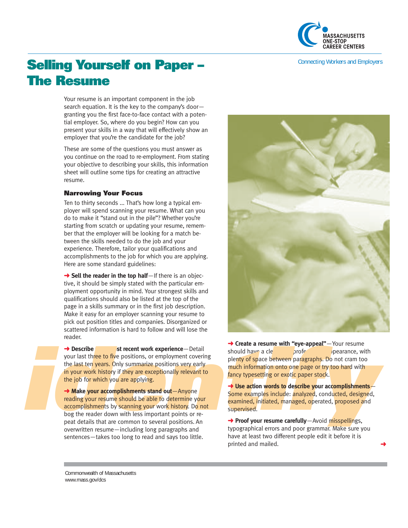

# Selling Yourself on Paper – **Selling Yourself on Paper – The Resume**

Your resume is an important component in the job search equation. It is the key to the company's door granting you the first face-to-face contact with a potential employer. So, where do you begin? How can you present your skills in a way that will effectively show an employer that you're the candidate for the job?

These are some of the questions you must answer as you continue on the road to re-employment. From stating your objective to describing your skills, this information sheet will outline some tips for creating an attractive resume.

#### **Narrowing Your Focus**

Ten to thirty seconds ... That's how long a typical employer will spend scanning your resume. What can you do to make it "stand out in the pile"? Whether you're starting from scratch or updating your resume, remember that the employer will be looking for a match between the skills needed to do the job and your experience. Therefore, tailor your qualifications and accomplishments to the job for which you are applying. Here are some standard guidelines:

**→ Sell the reader in the top half**—If there is an objective, it should be simply stated with the particular employment opportunity in mind. Your strongest skills and qualifications should also be listed at the top of the page in a skills summary or in the first job description. Make it easy for an employer scanning your resume to pick out position titles and companies. Disorganized or scattered information is hard to follow and will lose the reader.

The secret variable states and the should have a clean to the last ten years. Only summarize positions very early<br>the last ten years. Only summarize positions very early the plenty of space between paragraphs. Do not cram

→ **Describe** strecent work experience—Detail<br>
your last there to five positions, or employment covering<br>
the leading vour versions. Only summarize positions very early<br>
the loof or which you are applying.<br>
<br>
<br> **→ Make you** peat details that are common to several positions. An **→ Proof your resume carefully**—Avoid misspellings,<br>overwritten resume—including long paragraphs and typographical errors and poor grammar. Make sure you overwritten resume—including long paragraphs and sentences—takes too long to read and says too little. have at least two different people edit it before it is



**→ Create a resume with "eye-appeal"**—Your resume

→ Make your accomplishments stand out—Anyone<br>
reading your resume should be able to determine your<br>
accomplishments by scanning your work history. Do not<br>
supervised. Initiated, managed, operated, proposed and<br>
supervised

printed and mailed.

Commonwealth of Massachusetts www.mass.gov/dcs